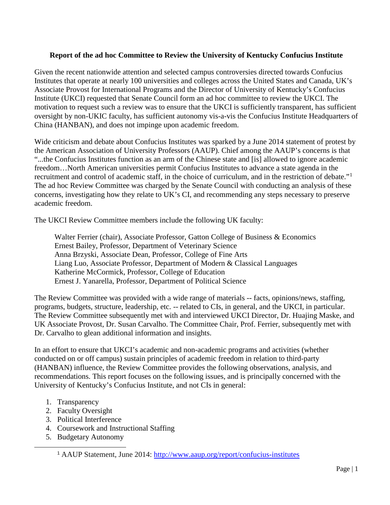## **Report of the ad hoc Committee to Review the University of Kentucky Confucius Institute**

Given the recent nationwide attention and selected campus controversies directed towards Confucius Institutes that operate at nearly 100 universities and colleges across the United States and Canada, UK's Associate Provost for International Programs and the Director of University of Kentucky's Confucius Institute (UKCI) requested that Senate Council form an ad hoc committee to review the UKCI. The motivation to request such a review was to ensure that the UKCI is sufficiently transparent, has sufficient oversight by non-UKIC faculty, has sufficient autonomy vis-a-vis the Confucius Institute Headquarters of China (HANBAN), and does not impinge upon academic freedom.

Wide criticism and debate about Confucius Institutes was sparked by a June 2014 statement of protest by the American Association of University Professors (AAUP). Chief among the AAUP's concerns is that "...the Confucius Institutes function as an arm of the Chinese state and [is] allowed to ignore academic freedom…North American universities permit Confucius Institutes to advance a state agenda in the recruitment and control of academic staff, in the choice of curriculum, and in the restriction of debate."[1](#page-0-0) The ad hoc Review Committee was charged by the Senate Council with conducting an analysis of these concerns, investigating how they relate to UK's CI, and recommending any steps necessary to preserve academic freedom.

The UKCI Review Committee members include the following UK faculty:

Walter Ferrier (chair), Associate Professor, Gatton College of Business & Economics Ernest Bailey, Professor, Department of Veterinary Science Anna Brzyski, Associate Dean, Professor, College of Fine Arts Liang Luo, Associate Professor, Department of Modern & Classical Languages Katherine McCormick, Professor, College of Education Ernest J. Yanarella, Professor, Department of Political Science

The Review Committee was provided with a wide range of materials -- facts, opinions/news, staffing, programs, budgets, structure, leadership, etc. -- related to CIs, in general, and the UKCI, in particular. The Review Committee subsequently met with and interviewed UKCI Director, Dr. Huajing Maske, and UK Associate Provost, Dr. Susan Carvalho. The Committee Chair, Prof. Ferrier, subsequently met with Dr. Carvalho to glean additional information and insights.

In an effort to ensure that UKCI's academic and non-academic programs and activities (whether conducted on or off campus) sustain principles of academic freedom in relation to third-party (HANBAN) influence, the Review Committee provides the following observations, analysis, and recommendations. This report focuses on the following issues, and is principally concerned with the University of Kentucky's Confucius Institute, and not CIs in general:

- 1. Transparency
- 2. Faculty Oversight
- 3. Political Interference
- 4. Coursework and Instructional Staffing
- <span id="page-0-0"></span>5. Budgetary Autonomy

 <sup>1</sup> AAUP Statement, June 2014:<http://www.aaup.org/report/confucius-institutes>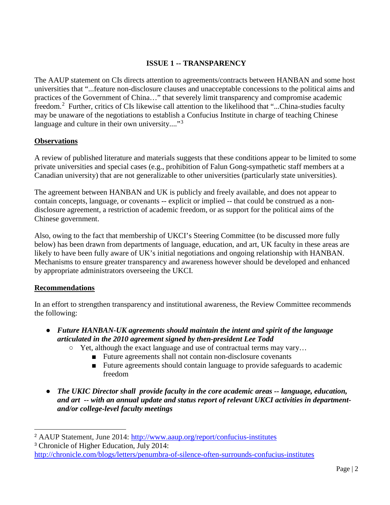## **ISSUE 1 -- TRANSPARENCY**

The AAUP statement on CIs directs attention to agreements/contracts between HANBAN and some host universities that "...feature non-disclosure clauses and unacceptable concessions to the political aims and practices of the Government of China…" that severely limit transparency and compromise academic freedom.<sup>[2](#page-1-0)</sup> Further, critics of CIs likewise call attention to the likelihood that "...China-studies faculty may be unaware of the negotiations to establish a Confucius Institute in charge of teaching Chinese language and culture in their own university...." $3$ 

### **Observations**

A review of published literature and materials suggests that these conditions appear to be limited to some private universities and special cases (e.g., prohibition of Falun Gong-sympathetic staff members at a Canadian university) that are not generalizable to other universities (particularly state universities).

The agreement between HANBAN and UK is publicly and freely available, and does not appear to contain concepts, language, or covenants -- explicit or implied -- that could be construed as a nondisclosure agreement, a restriction of academic freedom, or as support for the political aims of the Chinese government.

Also, owing to the fact that membership of UKCI's Steering Committee (to be discussed more fully below) has been drawn from departments of language, education, and art, UK faculty in these areas are likely to have been fully aware of UK's initial negotiations and ongoing relationship with HANBAN. Mechanisms to ensure greater transparency and awareness however should be developed and enhanced by appropriate administrators overseeing the UKCI.

#### **Recommendations**

In an effort to strengthen transparency and institutional awareness, the Review Committee recommends the following:

- *Future HANBAN-UK agreements should maintain the intent and spirit of the language articulated in the 2010 agreement signed by then-president Lee Todd*
	- Yet, although the exact language and use of contractual terms may vary…
		- Future agreements shall not contain non-disclosure covenants
		- Future agreements should contain language to provide safeguards to academic freedom
- *The UKIC Director shall provide faculty in the core academic areas -- language, education, and art -- with an annual update and status report of relevant UKCI activities in departmentand/or college-level faculty meetings*

<span id="page-1-0"></span> <sup>2</sup> AAUP Statement, June 2014:<http://www.aaup.org/report/confucius-institutes>

<span id="page-1-1"></span><sup>3</sup> Chronicle of Higher Education, July 2014:

[http://chronicle.com/blogs/letters/penumbra-of-silence-often-surrounds-confucius-institutes](http://chronicle.com/blogs/letters/penumbra-of-silence-often-surrounds-confucius-institutes/)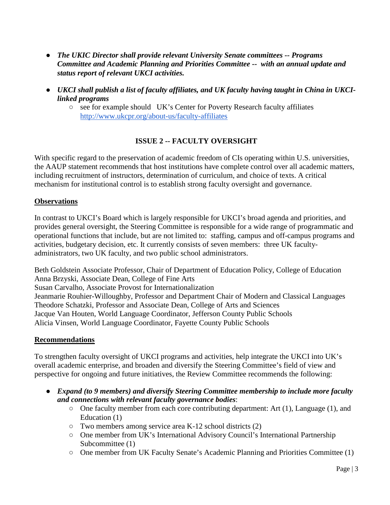- *The UKIC Director shall provide relevant University Senate committees -- Programs Committee and Academic Planning and Priorities Committee -- with an annual update and status report of relevant UKCI activities.*
- *UKCI shall publish a list of faculty affiliates, and UK faculty having taught in China in UKCIlinked programs*
	- $\circ$  see for example should UK's Center for Poverty Research faculty affiliates <http://www.ukcpr.org/about-us/faculty-affiliates>

# **ISSUE 2 -- FACULTY OVERSIGHT**

With specific regard to the preservation of academic freedom of CIs operating within U.S. universities, the AAUP statement recommends that host institutions have complete control over all academic matters, including recruitment of instructors, determination of curriculum, and choice of texts. A critical mechanism for institutional control is to establish strong faculty oversight and governance.

## **Observations**

In contrast to UKCI's Board which is largely responsible for UKCI's broad agenda and priorities, and provides general oversight, the Steering Committee is responsible for a wide range of programmatic and operational functions that include, but are not limited to: staffing, campus and off-campus programs and activities, budgetary decision, etc. It currently consists of seven members: three UK facultyadministrators, two UK faculty, and two public school administrators.

Beth Goldstein Associate Professor, Chair of Department of Education Policy, College of Education Anna Brzyski, Associate Dean, College of Fine Arts Susan Carvalho, Associate Provost for Internationalization Jeanmarie Rouhier-Willoughby, Professor and Department Chair of Modern and Classical Languages Theodore Schatzki, Professor and Associate Dean, College of Arts and Sciences Jacque Van Houten, World Language Coordinator, Jefferson County Public Schools Alicia Vinsen, World Language Coordinator, Fayette County Public Schools

#### **Recommendations**

To strengthen faculty oversight of UKCI programs and activities, help integrate the UKCI into UK's overall academic enterprise, and broaden and diversify the Steering Committee's field of view and perspective for ongoing and future initiatives, the Review Committee recommends the following:

- *Expand (to 9 members) and diversify Steering Committee membership to include more faculty and connections with relevant faculty governance bodies*:
	- $\circ$  One faculty member from each core contributing department: Art (1), Language (1), and Education (1)
	- Two members among service area K-12 school districts (2)
	- One member from UK's International Advisory Council's International Partnership Subcommittee (1)
	- One member from UK Faculty Senate's Academic Planning and Priorities Committee (1)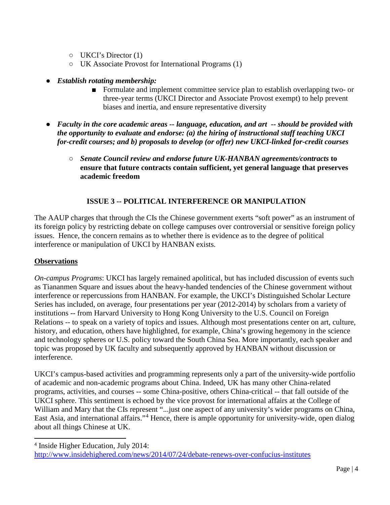- UKCI's Director (1)
- UK Associate Provost for International Programs (1)
- *Establish rotating membership:*
	- Formulate and implement committee service plan to establish overlapping two- or three-year terms (UKCI Director and Associate Provost exempt) to help prevent biases and inertia, and ensure representative diversity
- *Faculty in the core academic areas -- language, education, and art -- should be provided with the opportunity to evaluate and endorse: (a) the hiring of instructional staff teaching UKCI for-credit courses; and b) proposals to develop (or offer) new UKCI-linked for-credit courses*
	- *Senate Council review and endorse future UK-HANBAN agreements/contracts* **to ensure that future contracts contain sufficient, yet general language that preserves academic freedom**

## **ISSUE 3 -- POLITICAL INTERFERENCE OR MANIPULATION**

The AAUP charges that through the CIs the Chinese government exerts "soft power" as an instrument of its foreign policy by restricting debate on college campuses over controversial or sensitive foreign policy issues. Hence, the concern remains as to whether there is evidence as to the degree of political interference or manipulation of UKCI by HANBAN exists.

## **Observations**

*On-campus Programs*: UKCI has largely remained apolitical, but has included discussion of events such as Tiananmen Square and issues about the heavy-handed tendencies of the Chinese government without interference or repercussions from HANBAN. For example, the UKCI's Distinguished Scholar Lecture Series has included, on average, four presentations per year (2012-2014) by scholars from a variety of institutions -- from Harvard University to Hong Kong University to the U.S. Council on Foreign Relations -- to speak on a variety of topics and issues. Although most presentations center on art, culture, history, and education, others have highlighted, for example, China's growing hegemony in the science and technology spheres or U.S. policy toward the South China Sea. More importantly, each speaker and topic was proposed by UK faculty and subsequently approved by HANBAN without discussion or interference.

UKCI's campus-based activities and programming represents only a part of the university-wide portfolio of academic and non-academic programs about China. Indeed, UK has many other China-related programs, activities, and courses -- some China-positive, others China-critical -- that fall outside of the UKCI sphere. This sentiment is echoed by the vice provost for international affairs at the College of William and Mary that the CIs represent "... just one aspect of any university's wider programs on China, East Asia, and international affairs."<sup>[4](#page-3-0)</sup> Hence, there is ample opportunity for university-wide, open dialog about all things Chinese at UK.

<span id="page-3-0"></span> <sup>4</sup> Inside Higher Education, July 2014: <http://www.insidehighered.com/news/2014/07/24/debate-renews-over-confucius-institutes>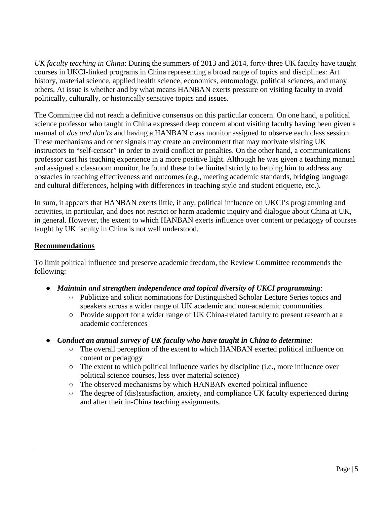*UK faculty teaching in China*: During the summers of 2013 and 2014, forty-three UK faculty have taught courses in UKCI-linked programs in China representing a broad range of topics and disciplines: Art history, material science, applied health science, economics, entomology, political sciences, and many others. At issue is whether and by what means HANBAN exerts pressure on visiting faculty to avoid politically, culturally, or historically sensitive topics and issues.

The Committee did not reach a definitive consensus on this particular concern. On one hand, a political science professor who taught in China expressed deep concern about visiting faculty having been given a manual of *dos and don'ts* and having a HANBAN class monitor assigned to observe each class session. These mechanisms and other signals may create an environment that may motivate visiting UK instructors to "self-censor" in order to avoid conflict or penalties. On the other hand, a communications professor cast his teaching experience in a more positive light. Although he was given a teaching manual and assigned a classroom monitor, he found these to be limited strictly to helping him to address any obstacles in teaching effectiveness and outcomes (e.g., meeting academic standards, bridging language and cultural differences, helping with differences in teaching style and student etiquette, etc.).

In sum, it appears that HANBAN exerts little, if any, political influence on UKCI's programming and activities, in particular, and does not restrict or harm academic inquiry and dialogue about China at UK, in general. However, the extent to which HANBAN exerts influence over content or pedagogy of courses taught by UK faculty in China is not well understood.

## **Recommendations**

 $\overline{a}$ 

To limit political influence and preserve academic freedom, the Review Committee recommends the following:

- *Maintain and strengthen independence and topical diversity of UKCI programming*:
	- Publicize and solicit nominations for Distinguished Scholar Lecture Series topics and speakers across a wider range of UK academic and non-academic communities.
	- Provide support for a wider range of UK China-related faculty to present research at a academic conferences
- *Conduct an annual survey of UK faculty who have taught in China to determine*:
	- The overall perception of the extent to which HANBAN exerted political influence on content or pedagogy
	- The extent to which political influence varies by discipline (i.e., more influence over political science courses, less over material science)
	- $\circ$  The observed mechanisms by which HANBAN exerted political influence
	- The degree of (dis)satisfaction, anxiety, and compliance UK faculty experienced during and after their in-China teaching assignments.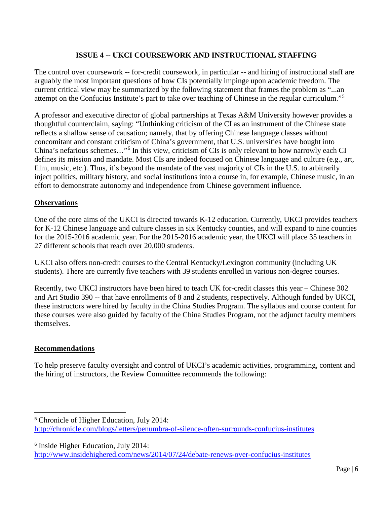## **ISSUE 4 -- UKCI COURSEWORK AND INSTRUCTIONAL STAFFING**

The control over coursework -- for-credit coursework, in particular -- and hiring of instructional staff are arguably the most important questions of how CIs potentially impinge upon academic freedom. The current critical view may be summarized by the following statement that frames the problem as "...an attempt on the Confucius Institute's part to take over teaching of Chinese in the regular curriculum."[5](#page-5-0)

A professor and executive director of global partnerships at Texas A&M University however provides a thoughtful counterclaim, saying: "Unthinking criticism of the CI as an instrument of the Chinese state reflects a shallow sense of causation; namely, that by offering Chinese language classes without concomitant and constant criticism of China's government, that U.S. universities have bought into China's nefarious schemes…"[6](#page-5-1) In this view, criticism of CIs is only relevant to how narrowly each CI defines its mission and mandate. Most CIs are indeed focused on Chinese language and culture (e.g., art, film, music, etc.). Thus, it's beyond the mandate of the vast majority of CIs in the U.S. to arbitrarily inject politics, military history, and social institutions into a course in, for example, Chinese music, in an effort to demonstrate autonomy and independence from Chinese government influence.

### **Observations**

One of the core aims of the UKCI is directed towards K-12 education. Currently, UKCI provides teachers for K-12 Chinese language and culture classes in six Kentucky counties, and will expand to nine counties for the 2015-2016 academic year. For the 2015-2016 academic year, the UKCI will place 35 teachers in 27 different schools that reach over 20,000 students.

UKCI also offers non-credit courses to the Central Kentucky/Lexington community (including UK students). There are currently five teachers with 39 students enrolled in various non-degree courses.

Recently, two UKCI instructors have been hired to teach UK for-credit classes this year – Chinese 302 and Art Studio 390 -- that have enrollments of 8 and 2 students, respectively. Although funded by UKCI, these instructors were hired by faculty in the China Studies Program. The syllabus and course content for these courses were also guided by faculty of the China Studies Program, not the adjunct faculty members themselves.

#### **Recommendations**

To help preserve faculty oversight and control of UKCI's academic activities, programming, content and the hiring of instructors, the Review Committee recommends the following:

<span id="page-5-0"></span> <sup>5</sup> Chronicle of Higher Education, July 2014: [http://chronicle.com/blogs/letters/penumbra-of-silence-often-surrounds-confucius-institutes](http://chronicle.com/blogs/letters/penumbra-of-silence-often-surrounds-confucius-institutes/)

<span id="page-5-1"></span><sup>6</sup> Inside Higher Education, July 2014:

<http://www.insidehighered.com/news/2014/07/24/debate-renews-over-confucius-institutes>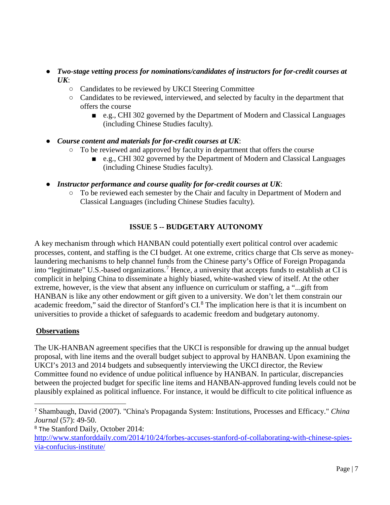- *Two-stage vetting process for nominations/candidates of instructors for for-credit courses at UK*:
	- Candidates to be reviewed by UKCI Steering Committee
	- Candidates to be reviewed, interviewed, and selected by faculty in the department that offers the course
		- e.g., CHI 302 governed by the Department of Modern and Classical Languages (including Chinese Studies faculty).
- *Course content and materials for for-credit courses at UK*:
	- To be reviewed and approved by faculty in department that offers the course
		- e.g., CHI 302 governed by the Department of Modern and Classical Languages (including Chinese Studies faculty).
- *Instructor performance and course quality for for-credit courses at UK*:
	- To be reviewed each semester by the Chair and faculty in Department of Modern and Classical Languages (including Chinese Studies faculty).

# **ISSUE 5 -- BUDGETARY AUTONOMY**

A key mechanism through which HANBAN could potentially exert political control over academic processes, content, and staffing is the CI budget. At one extreme, critics charge that CIs serve as moneylaundering mechanisms to help channel funds from the Chinese party's Office of Foreign Propaganda into "legitimate" U.S.-based organizations.<sup>[7](#page-6-0)</sup> Hence, a university that accepts funds to establish at CI is complicit in helping China to disseminate a highly biased, white-washed view of itself. At the other extreme, however, is the view that absent any influence on curriculum or staffing, a "...gift from HANBAN is like any other endowment or gift given to a university. We don't let them constrain our academic freedom," said the director of Stanford's CI.<sup>[8](#page-6-1)</sup> The implication here is that it is incumbent on universities to provide a thicket of safeguards to academic freedom and budgetary autonomy.

## **Observations**

The UK-HANBAN agreement specifies that the UKCI is responsible for drawing up the annual budget proposal, with line items and the overall budget subject to approval by HANBAN. Upon examining the UKCI's 2013 and 2014 budgets and subsequently interviewing the UKCI director, the Review Committee found no evidence of undue political influence by HANBAN. In particular, discrepancies between the projected budget for specific line items and HANBAN-approved funding levels could not be plausibly explained as political influence. For instance, it would be difficult to cite political influence as

<span id="page-6-0"></span> <sup>7</sup> Shambaugh, David (2007). "China's Propaganda System: Institutions, Processes and Efficacy." *China Journal* (57): 49-50.

<span id="page-6-1"></span><sup>8</sup> The Stanford Daily, October 2014:

[http://www.stanforddaily.com/2014/10/24/forbes-accuses-stanford-of-collaborating-with-chinese-spies](http://www.stanforddaily.com/2014/10/24/forbes-accuses-stanford-of-collaborating-with-chinese-spies-via-confucius-institute/)[via-confucius-institute/](http://www.stanforddaily.com/2014/10/24/forbes-accuses-stanford-of-collaborating-with-chinese-spies-via-confucius-institute/)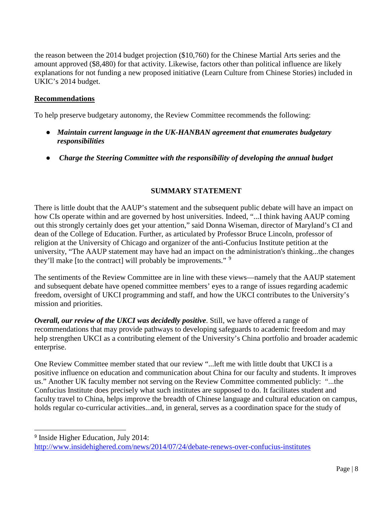the reason between the 2014 budget projection (\$10,760) for the Chinese Martial Arts series and the amount approved (\$8,480) for that activity. Likewise, factors other than political influence are likely explanations for not funding a new proposed initiative (Learn Culture from Chinese Stories) included in UKIC's 2014 budget.

#### **Recommendations**

To help preserve budgetary autonomy, the Review Committee recommends the following:

- *Maintain current language in the UK-HANBAN agreement that enumerates budgetary responsibilities*
- *Charge the Steering Committee with the responsibility of developing the annual budget*

## **SUMMARY STATEMENT**

There is little doubt that the AAUP's statement and the subsequent public debate will have an impact on how CIs operate within and are governed by host universities. Indeed, "...I think having AAUP coming out this strongly certainly does get your attention," said Donna Wiseman, director of Maryland's CI and dean of the College of Education. Further, as articulated by Professor Bruce Lincoln, professor of religion at the University of Chicago and organizer of the anti-Confucius Institute petition at the university, "The AAUP statement may have had an impact on the administration's thinking...the changes they'll make [to the contract] will probably be improvements." <sup>[9](#page-7-0)</sup>

The sentiments of the Review Committee are in line with these views—namely that the AAUP statement and subsequent debate have opened committee members' eyes to a range of issues regarding academic freedom, oversight of UKCI programming and staff, and how the UKCI contributes to the University's mission and priorities.

*Overall, our review of the UKCI was decidedly positive*. Still, we have offered a range of recommendations that may provide pathways to developing safeguards to academic freedom and may help strengthen UKCI as a contributing element of the University's China portfolio and broader academic enterprise.

One Review Committee member stated that our review "...left me with little doubt that UKCI is a positive influence on education and communication about China for our faculty and students. It improves us." Another UK faculty member not serving on the Review Committee commented publicly: "...the [Confucius Institute](https://china.as.uky.edu/) does precisely what such institutes are supposed to do. It facilitates student and faculty travel to China, helps improve the breadth of Chinese language and cultural education on campus, holds regular co-curricular activities...and, in general, serves as a coordination space for the study of

<span id="page-7-0"></span><sup>&</sup>lt;sup>9</sup> Inside Higher Education, July 2014: <http://www.insidehighered.com/news/2014/07/24/debate-renews-over-confucius-institutes>